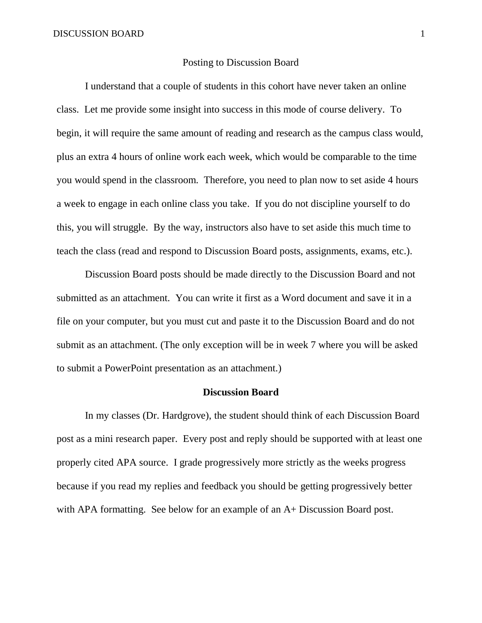# Posting to Discussion Board

I understand that a couple of students in this cohort have never taken an online class. Let me provide some insight into success in this mode of course delivery. To begin, it will require the same amount of reading and research as the campus class would, plus an extra 4 hours of online work each week, which would be comparable to the time you would spend in the classroom. Therefore, you need to plan now to set aside 4 hours a week to engage in each online class you take. If you do not discipline yourself to do this, you will struggle. By the way, instructors also have to set aside this much time to teach the class (read and respond to Discussion Board posts, assignments, exams, etc.).

Discussion Board posts should be made directly to the Discussion Board and not submitted as an attachment. You can write it first as a Word document and save it in a file on your computer, but you must cut and paste it to the Discussion Board and do not submit as an attachment. (The only exception will be in week 7 where you will be asked to submit a PowerPoint presentation as an attachment.)

## **Discussion Board**

In my classes (Dr. Hardgrove), the student should think of each Discussion Board post as a mini research paper. Every post and reply should be supported with at least one properly cited APA source. I grade progressively more strictly as the weeks progress because if you read my replies and feedback you should be getting progressively better with APA formatting. See below for an example of an A+ Discussion Board post.